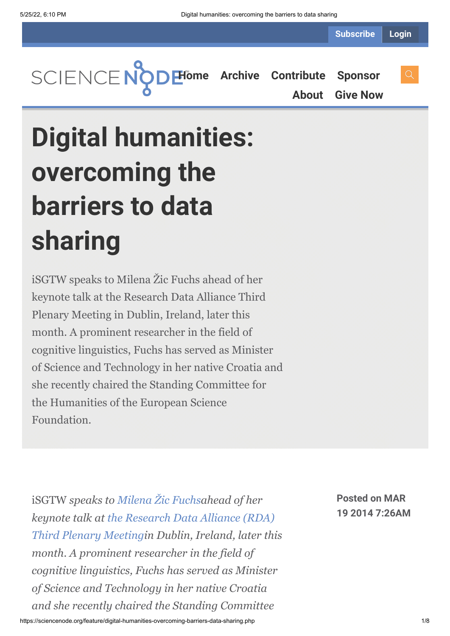**[Home](https://sciencenode.org/) [Archive](https://sciencenode.org/archive/index.php) [Contribute](https://sciencenode.org/contribute/index.php) [Sponsor](https://sciencenode.org/sponsor/index.php)**

**[About](https://sciencenode.org/about/index.php) [Give Now](https://sciencenode.org/donate/index.php)**

**Digital humanities: overcoming the barriers to data sharing**

iSGTW speaks to Milena Žic Fuchs ahead of her keynote talk at the Research Data Alliance Third Plenary Meeting in Dublin, Ireland, later this month. A prominent researcher in the field of cognitive linguistics, Fuchs has served as Minister of Science and Technology in her native Croatia and she recently chaired the Standing Committee for the Humanities of the European Science Foundation.

iSGTW *speaks to [Milena Žic Fuchsa](https://www.rd-alliance.org/milena-%C5%BEic-fuchs.html)head of her keynote talk at the Research Data Alliance (RDA) [Third Plenary Meetingin Dublin, Ireland, later thi](https://rd-alliance.org/plenary-meetings.html)s month. A prominent researcher in the field of cognitive linguistics, Fuchs has served as Minister of Science and Technology in her native Croatia and she recently chaired the Standing Committee*

**Posted on MAR 19 2014 7:26AM**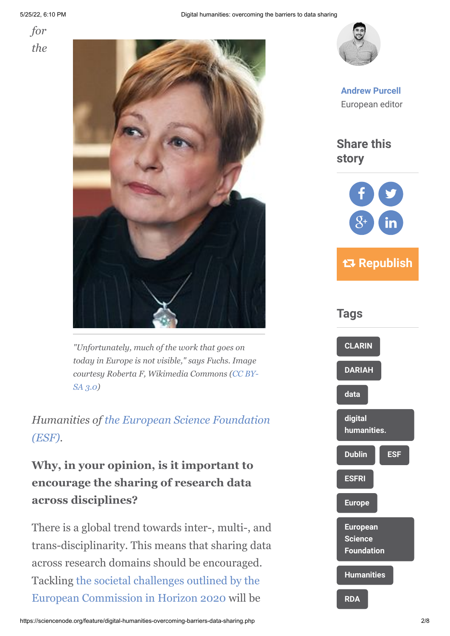5/25/22, 6:10 PM Digital humanities: overcoming the barriers to data sharing





*"Unfortunately, much of the work that goes on today in Europe is not visible," says Fuchs. Image [courtesy Roberta F, Wikimedia Commons \(CC BY-](http://creativecommons.org/licenses/by-sa/3.0/deed.en)SA 3.0)*

*Humanities of [the European Science Foundation](http://www.esf.org/home.html) (ESF).*

# **Why, in your opinion, is it important to encourage the sharing of research data across disciplines?**

There is a global trend towards inter-, multi-, and trans-disciplinarity. This means that sharing data across research domains should be encouraged. Tackling the societal challenges outlined by the [European Commission in Horizon 2020 will be](http://ec.europa.eu/programmes/horizon2020/en/h2020-section/societal-challenges)



**[Andrew Purcell](https://sciencenode.org/author/andrew-purcell.php)** European editor

**Share this story**



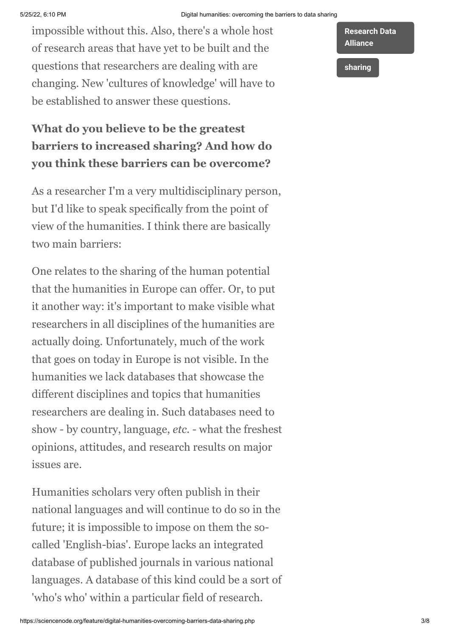impossible without this. Also, there's a whole host of research areas that have yet to be built and the questions that researchers are dealing with are changing. New 'cultures of knowledge' will have to be established to answer these questions.

# **What do you believe to be the greatest barriers to increased sharing? And how do you think these barriers can be overcome?**

As a researcher I'm a very multidisciplinary person, but I'd like to speak specifically from the point of view of the humanities. I think there are basically two main barriers:

One relates to the sharing of the human potential that the humanities in Europe can offer. Or, to put it another way: it's important to make visible what researchers in all disciplines of the humanities are actually doing. Unfortunately, much of the work that goes on today in Europe is not visible. In the humanities we lack databases that showcase the different disciplines and topics that humanities researchers are dealing in. Such databases need to show - by country, language, *etc.* - what the freshest opinions, attitudes, and research results on major issues are.

Humanities scholars very often publish in their national languages and will continue to do so in the future; it is impossible to impose on them the socalled 'English-bias'. Europe lacks an integrated database of published journals in various national languages. A database of this kind could be a sort of 'who's who' within a particular field of research.



**[sharing](https://sciencenode.org/tag/?tag=sharing)**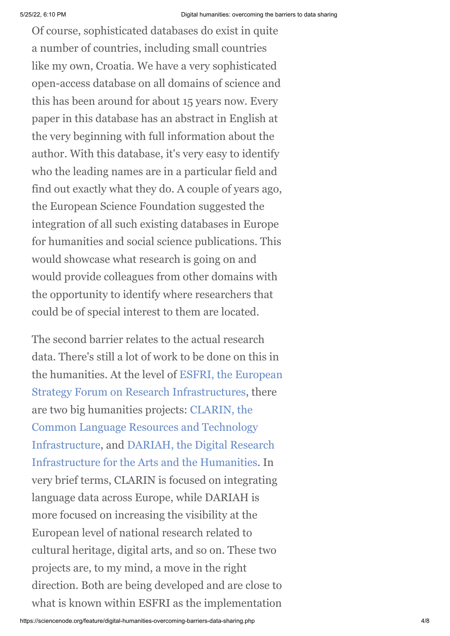Of course, sophisticated databases do exist in quite a number of countries, including small countries like my own, Croatia. We have a very sophisticated open-access database on all domains of science and this has been around for about 15 years now. Every paper in this database has an abstract in English at the very beginning with full information about the author. With this database, it's very easy to identify who the leading names are in a particular field and find out exactly what they do. A couple of years ago, the European Science Foundation suggested the integration of all such existing databases in Europe for humanities and social science publications. This would showcase what research is going on and would provide colleagues from other domains with the opportunity to identify where researchers that could be of special interest to them are located.

The second barrier relates to the actual research data. There's still a lot of work to be done on this in [the humanities. At the level of ESFRI, the European](http://ec.europa.eu/research/infrastructures/index_en.cfm?pg=esfri) Strategy Forum on Research Infrastructures, there are two big humanities projects: CLARIN, the Common Language Resources and Technology [Infrastructure, and DARIAH, the Digital Rese](http://www.clarin.eu/)[arch](http://www.dariah.eu/) Infrastructure for the Arts and the Humanities. In very brief terms, CLARIN is focused on integrating language data across Europe, while DARIAH is more focused on increasing the visibility at the European level of national research related to cultural heritage, digital arts, and so on. These two projects are, to my mind, a move in the right direction. Both are being developed and are close to what is known within ESFRI as the implementation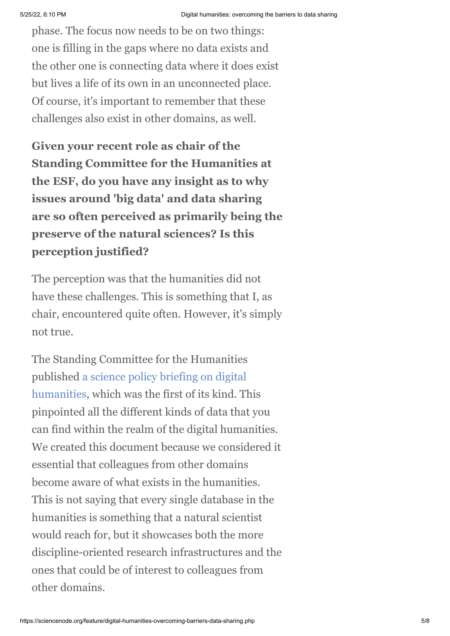phase. The focus now needs to be on two things: one is filling in the gaps where no data exists and the other one is connecting data where it does exist but lives a life of its own in an unconnected place. Of course, it's important to remember that these challenges also exist in other domains, as well.

**Given your recent role as chair of the Standing Committee for the Humanities at the ESF, do you have any insight as to why issues around 'big data' and data sharing are so often perceived as primarily being the preserve of the natural sciences? Is this perception justified?**

The perception was that the humanities did not have these challenges. This is something that I, as chair, encountered quite often. However, it's simply not true.

The Standing Committee for the Humanities published a science policy briefing on digital [humanities, which was the first of its kind. Th](http://www.esf.org/fileadmin/Public_documents/Publications/spb42_RI_DigitalHumanities.pdf)is pinpointed all the different kinds of data that you can find within the realm of the digital humanities. We created this document because we considered it essential that colleagues from other domains become aware of what exists in the humanities. This is not saying that every single database in the humanities is something that a natural scientist would reach for, but it showcases both the more discipline-oriented research infrastructures and the ones that could be of interest to colleagues from other domains.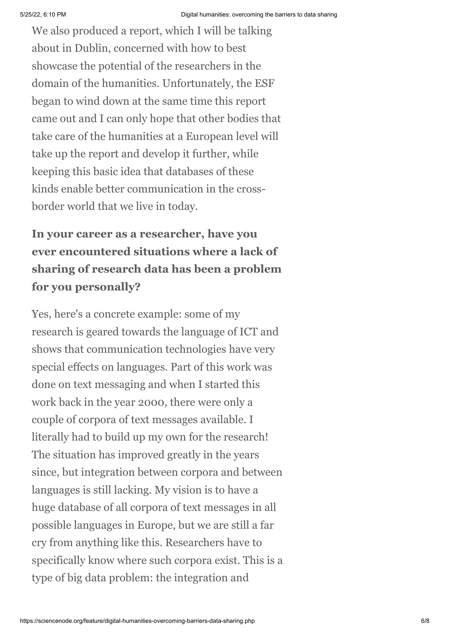We also produced a report, which I will be talking about in Dublin, concerned with how to best showcase the potential of the researchers in the domain of the humanities. Unfortunately, the ESF began to wind down at the same time this report came out and I can only hope that other bodies that take care of the humanities at a European level will take up the report and develop it further, while keeping this basic idea that databases of these kinds enable better communication in the crossborder world that we live in today.

# **In your career as a researcher, have you ever encountered situations where a lack of sharing of research data has been a problem for you personally?**

Yes, here's a concrete example: some of my research is geared towards the language of ICT and shows that communication technologies have very special effects on languages. Part of this work was done on text messaging and when I started this work back in the year 2000, there were only a couple of corpora of text messages available. I literally had to build up my own for the research! The situation has improved greatly in the years since, but integration between corpora and between languages is still lacking. My vision is to have a huge database of all corpora of text messages in all possible languages in Europe, but we are still a far cry from anything like this. Researchers have to specifically know where such corpora exist. This is a type of big data problem: the integration and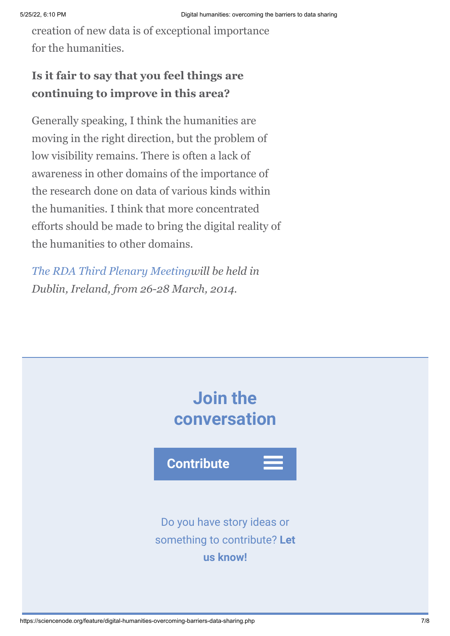creation of new data is of exceptional importance for the humanities.

### **Is it fair to say that you feel things are continuing to improve in this area?**

Generally speaking, I think the humanities are moving in the right direction, but the problem of low visibility remains. There is often a lack of awareness in other domains of the importance of the research done on data of various kinds within the humanities. I think that more concentrated efforts should be made to bring the digital reality of the humanities to other domains.

*[The RDA Third Plenary Meetingw](https://rd-alliance.org/plenary-meetings.html)ill be held in Dublin, Ireland, from 26-28 March, 2014.*